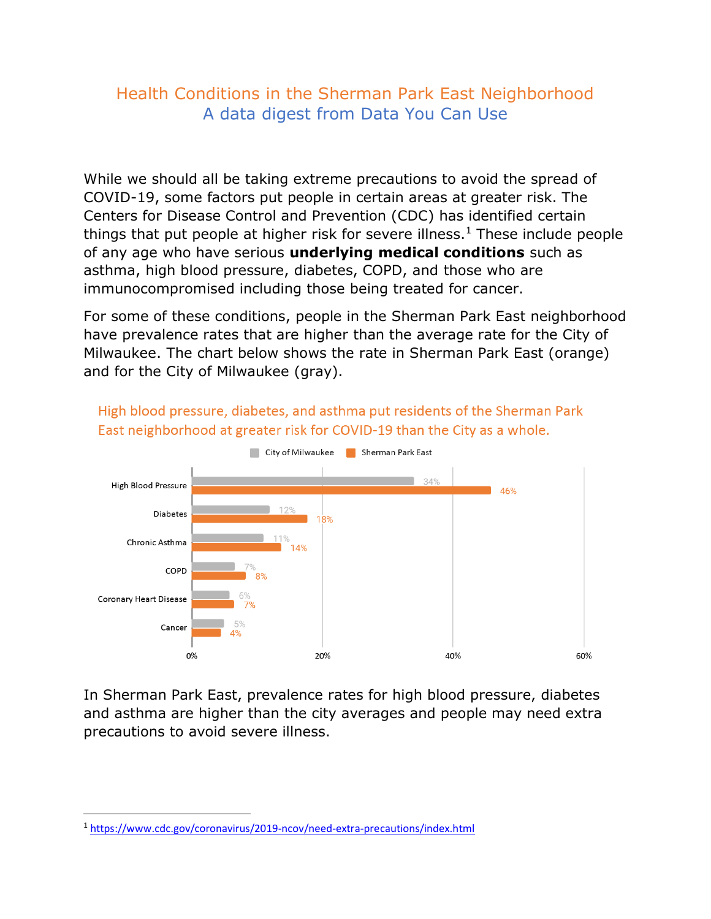## Health Conditions in the Sherman Park East Neighborhood A data digest from Data You Can Use

While we should all be taking extreme precautions to avoid the spread of COVID-19, some factors put people in certain areas at greater risk. The Centers for Disease Control and Prevention (CDC) has identified certain things that put people at higher risk for severe illness.<sup>1</sup> These include people of any age who have serious **underlying medical conditions** such as asthma, high blood pressure, diabetes, COPD, and those who are immunocompromised including those being treated for cancer.

For some of these conditions, people in the Sherman Park East neighborhood have prevalence rates that are higher than the average rate for the City of Milwaukee. The chart below shows the rate in Sherman Park East (orange) and for the City of Milwaukee (gray).



High blood pressure, diabetes, and asthma put residents of the Sherman Park East neighborhood at greater risk for COVID-19 than the City as a whole.

In Sherman Park East, prevalence rates for high blood pressure, diabetes and asthma are higher than the city averages and people may need extra precautions to avoid severe illness.

<sup>1</sup> <https://www.cdc.gov/coronavirus/2019-ncov/need-extra-precautions/index.html>